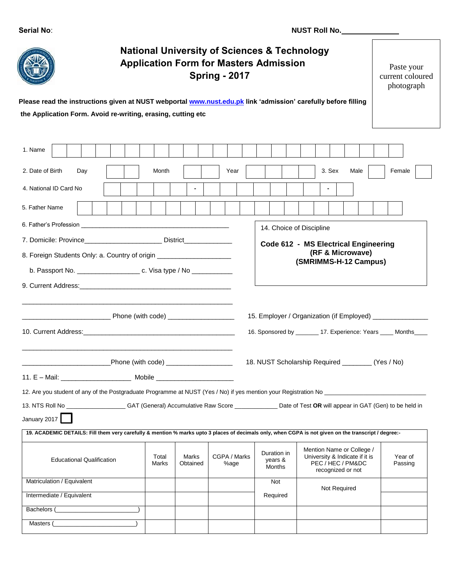| Serial No: |  |
|------------|--|
|------------|--|

| <b>National University of Sciences &amp; Technology</b><br><b>Application Form for Masters Admission</b><br><b>Spring - 2017</b><br>Please read the instructions given at NUST webportal www.nust.edu.pk link 'admission' carefully before filling<br>the Application Form. Avoid re-writing, erasing, cutting etc |                                                                                                                                                      |                   |                      |  |                                  | Paste your<br>current coloured<br>photograph                                                          |                    |
|--------------------------------------------------------------------------------------------------------------------------------------------------------------------------------------------------------------------------------------------------------------------------------------------------------------------|------------------------------------------------------------------------------------------------------------------------------------------------------|-------------------|----------------------|--|----------------------------------|-------------------------------------------------------------------------------------------------------|--------------------|
|                                                                                                                                                                                                                                                                                                                    |                                                                                                                                                      |                   |                      |  |                                  |                                                                                                       |                    |
| 1. Name                                                                                                                                                                                                                                                                                                            |                                                                                                                                                      |                   |                      |  |                                  |                                                                                                       |                    |
| 2. Date of Birth<br>Day                                                                                                                                                                                                                                                                                            | Month                                                                                                                                                |                   | Year                 |  |                                  | 3. Sex<br>Male                                                                                        | Female             |
| 4. National ID Card No.                                                                                                                                                                                                                                                                                            |                                                                                                                                                      |                   |                      |  |                                  |                                                                                                       |                    |
| 5. Father Name                                                                                                                                                                                                                                                                                                     |                                                                                                                                                      |                   |                      |  |                                  |                                                                                                       |                    |
|                                                                                                                                                                                                                                                                                                                    |                                                                                                                                                      |                   |                      |  |                                  |                                                                                                       |                    |
|                                                                                                                                                                                                                                                                                                                    | 14. Choice of Discipline<br>7. Domicile: Province___________________________ District_______________________<br>Code 612 - MS Electrical Engineering |                   |                      |  |                                  |                                                                                                       |                    |
| 8. Foreign Students Only: a. Country of origin _________________________________                                                                                                                                                                                                                                   |                                                                                                                                                      |                   |                      |  |                                  | (RF & Microwave)                                                                                      |                    |
|                                                                                                                                                                                                                                                                                                                    |                                                                                                                                                      |                   |                      |  |                                  | (SMRIMMS-H-12 Campus)                                                                                 |                    |
|                                                                                                                                                                                                                                                                                                                    |                                                                                                                                                      |                   |                      |  |                                  |                                                                                                       |                    |
|                                                                                                                                                                                                                                                                                                                    |                                                                                                                                                      |                   |                      |  |                                  | 16. Sponsored by ________ 17. Experience: Years ____ Months____                                       |                    |
| 18. NUST Scholarship Required ________ (Yes / No)<br>Phone (with code) ____________________                                                                                                                                                                                                                        |                                                                                                                                                      |                   |                      |  |                                  |                                                                                                       |                    |
|                                                                                                                                                                                                                                                                                                                    |                                                                                                                                                      |                   |                      |  |                                  |                                                                                                       |                    |
| 12. Are you student of any of the Postgraduate Programme at NUST (Yes / No) if yes mention your Registration No                                                                                                                                                                                                    |                                                                                                                                                      |                   |                      |  |                                  |                                                                                                       |                    |
| 13. NTS Roll No _______________________GAT (General) Accumulative Raw Score _________________Date of Test OR will appear in GAT (Gen) to be held in                                                                                                                                                                |                                                                                                                                                      |                   |                      |  |                                  |                                                                                                       |                    |
| January 2017                                                                                                                                                                                                                                                                                                       |                                                                                                                                                      |                   |                      |  |                                  |                                                                                                       |                    |
| 19. ACADEMIC DETAILS: Fill them very carefully & mention % marks upto 3 places of decimals only, when CGPA is not given on the transcript / degree:-                                                                                                                                                               |                                                                                                                                                      |                   |                      |  |                                  |                                                                                                       |                    |
| <b>Educational Qualification</b>                                                                                                                                                                                                                                                                                   | Total<br>Marks                                                                                                                                       | Marks<br>Obtained | CGPA / Marks<br>%age |  | Duration in<br>years &<br>Months | Mention Name or College /<br>University & Indicate if it is<br>PEC / HEC / PM&DC<br>recognized or not | Year of<br>Passing |
| Matriculation / Equivalent                                                                                                                                                                                                                                                                                         |                                                                                                                                                      |                   |                      |  | <b>Not</b>                       | Not Required                                                                                          |                    |
| Intermediate / Equivalent                                                                                                                                                                                                                                                                                          |                                                                                                                                                      |                   |                      |  | Required                         |                                                                                                       |                    |
| Bachelors (                                                                                                                                                                                                                                                                                                        |                                                                                                                                                      |                   |                      |  |                                  |                                                                                                       |                    |
| Masters (                                                                                                                                                                                                                                                                                                          |                                                                                                                                                      |                   |                      |  |                                  |                                                                                                       |                    |